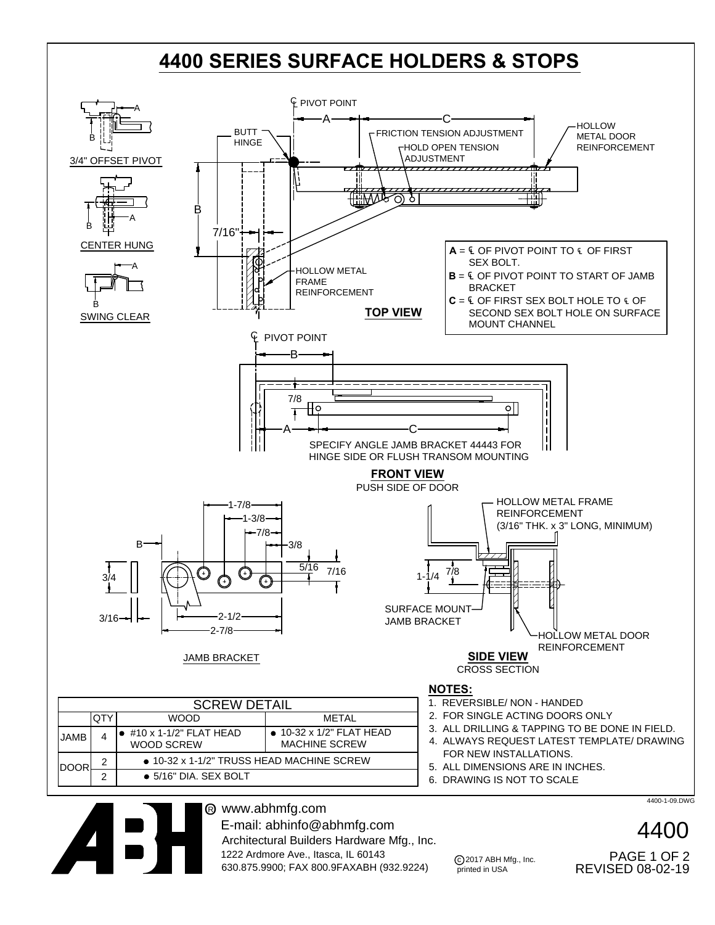



www.abhmfg.com O<sup>R</sup> E-mail: abhinfo@abhmfg.com Architectural Builders Hardware Mfg., Inc. 1222 Ardmore Ave., Itasca, IL 60143 630.875.9900; FAX 800.9FAXABH (932.9224)

c 2017 ABH Mfg., Inc. printed in USA

REVISED 08-02-19 PAGE 1 OF 2

4400